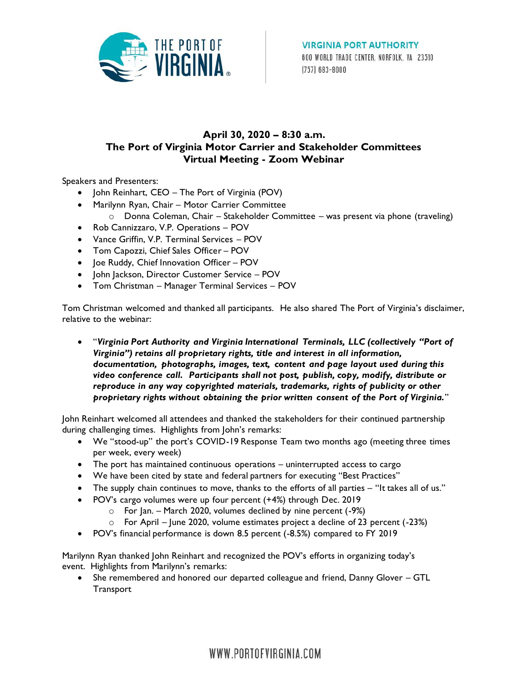

## **April 30, 2020 – 8:30 a.m. The Port of Virginia Motor Carrier and Stakeholder Committees Virtual Meeting - Zoom Webinar**

Speakers and Presenters:

- John Reinhart, CEO The Port of Virginia (POV)
- Marilynn Ryan, Chair Motor Carrier Committee o Donna Coleman, Chair – Stakeholder Committee – was present via phone (traveling)
- Rob Cannizzaro, V.P. Operations POV
- Vance Griffin, V.P. Terminal Services POV
- Tom Capozzi, Chief Sales Officer POV
- Joe Ruddy, Chief Innovation Officer POV
- John Jackson, Director Customer Service POV
- Tom Christman Manager Terminal Services POV

Tom Christman welcomed and thanked all participants. He also shared The Port of Virginia's disclaimer, relative to the webinar:

 "*Virginia Port Authority and Virginia International Terminals, LLC (collectively "Port of Virginia") retains all proprietary rights, title and interest in all information, documentation, photographs, images, text, content and page layout used during this video conference call. Participants shall not post, publish, copy, modify, distribute or reproduce in any way copyrighted materials, trademarks, rights of publicity or other proprietary rights without obtaining the prior written consent of the Port of Virginia.*"

John Reinhart welcomed all attendees and thanked the stakeholders for their continued partnership during challenging times. Highlights from John's remarks:

- We "stood-up" the port's COVID-19 Response Team two months ago (meeting three times per week, every week)
- The port has maintained continuous operations uninterrupted access to cargo
- We have been cited by state and federal partners for executing "Best Practices"
- The supply chain continues to move, thanks to the efforts of all parties "It takes all of us."
- POV's cargo volumes were up four percent (+4%) through Dec. 2019
	- o For Jan. March 2020, volumes declined by nine percent (-9%)
	- o For April June 2020, volume estimates project a decline of 23 percent (-23%)
- POV's financial performance is down 8.5 percent (-8.5%) compared to FY 2019

Marilynn Ryan thanked John Reinhart and recognized the POV's efforts in organizing today's event. Highlights from Marilynn's remarks:

 She remembered and honored our departed colleague and friend, Danny Glover – GTL **Transport** 

WWW.PORTOFVIRGINIA.COM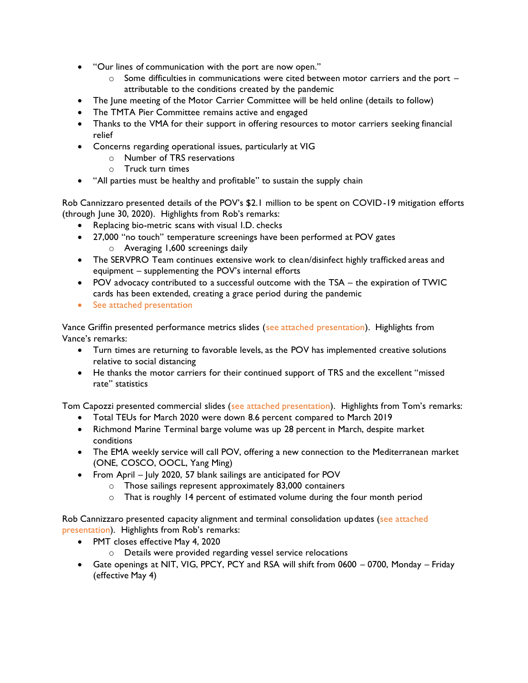- "Our lines of communication with the port are now open."
	- $\circ$  Some difficulties in communications were cited between motor carriers and the port attributable to the conditions created by the pandemic
- The June meeting of the Motor Carrier Committee will be held online (details to follow)
- The TMTA Pier Committee remains active and engaged
- Thanks to the VMA for their support in offering resources to motor carriers seeking financial relief
- Concerns regarding operational issues, particularly at VIG
	- o Number of TRS reservations
	- o Truck turn times
- "All parties must be healthy and profitable" to sustain the supply chain

Rob Cannizzaro presented details of the POV's \$2.1 million to be spent on COVID-19 mitigation efforts (through June 30, 2020). Highlights from Rob's remarks:

- Replacing bio-metric scans with visual I.D. checks
- 27,000 "no touch" temperature screenings have been performed at POV gates
	- o Averaging 1,600 screenings daily
- The SERVPRO Team continues extensive work to clean/disinfect highly trafficked areas and equipment – supplementing the POV's internal efforts
- POV advocacy contributed to a successful outcome with the TSA the expiration of TWIC cards has been extended, creating a grace period during the pandemic
- See attached presentation

Vance Griffin presented performance metrics slides (see attached presentation). Highlights from Vance's remarks:

- Turn times are returning to favorable levels, as the POV has implemented creative solutions relative to social distancing
- He thanks the motor carriers for their continued support of TRS and the excellent "missed rate" statistics

Tom Capozzi presented commercial slides (see attached presentation). Highlights from Tom's remarks:

- Total TEUs for March 2020 were down 8.6 percent compared to March 2019
- Richmond Marine Terminal barge volume was up 28 percent in March, despite market conditions
- The EMA weekly service will call POV, offering a new connection to the Mediterranean market (ONE, COSCO, OOCL, Yang Ming)
- From April July 2020, 57 blank sailings are anticipated for POV
	- o Those sailings represent approximately 83,000 containers
	- o That is roughly 14 percent of estimated volume during the four month period

Rob Cannizzaro presented capacity alignment and terminal consolidation updates (see attached presentation). Highlights from Rob's remarks:

- PMT closes effective May 4, 2020
	- o Details were provided regarding vessel service relocations
- Gate openings at NIT, VIG, PPCY, PCY and RSA will shift from 0600 0700, Monday Friday (effective May 4)